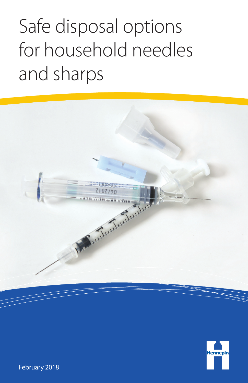# Safe disposal options for household needles and sharps





February 2018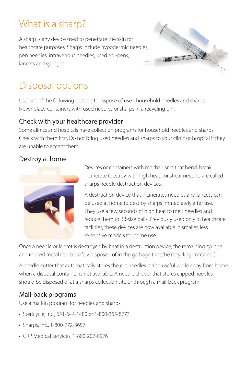## What is a sharp?

A sharp is any device used to penetrate the skin for healthcare purposes. Sharps include hypodermic needles, pen needles, intravenous needles, used epi-pens, lancets and syringes.



# Disposal options

Use one of the following options to dispose of used household needles and sharps. Never place containers with used needles or sharps in a recycling bin.

### Check with your healthcare provider

Some clinics and hospitals have collection programs for household needles and sharps. Check with them first. Do not bring used needles and sharps to your clinic or hospital if they are unable to accept them.

### Destroy at home



Devices or containers with mechanisms that bend, break, incinerate (destroy with high heat), or shear needles are called sharps needle destruction devices.

A destruction device that incinerates needles and lancets can be used at home to destroy sharps immediately after use. They use a few seconds of high heat to melt needles and reduce them to BB-size balls. Previously used only in healthcare facilities, these devices are now available in smaller, less expensive models for home use.

Once a needle or lancet is destroyed by heat in a destruction device, the remaining syringe and melted metal can be safely disposed of in the garbage (not the recycling container).

A needle cutter that automatically stores the cut needles is also useful while away from home when a disposal container is not available. A needle clipper that stores clipped needles should be disposed of at a sharps collection site or through a mail-back program.

### Mail-back programs

Use a mail-in program for needles and sharps

- Stericycle, Inc., 651-644-1480 or 1-800-355-8773
- Sharps, Inc., 1-800-772-5657
- GRP Medical Services, 1-800-207-0976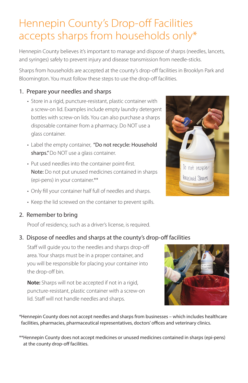# Hennepin County's Drop-off Facilities accepts sharps from households only\*

Hennepin County believes it's important to manage and dispose of sharps (needles, lancets, and syringes) safely to prevent injury and disease transmission from needle-sticks.

Sharps from households are accepted at the county's drop-off facilities in Brooklyn Park and Bloomington. You must follow these steps to use the drop-off facilities.

#### 1. Prepare your needles and sharps

- Store in a rigid, puncture-resistant, plastic container with a screw-on lid. Examples include empty laundry detergent bottles with screw-on lids. You can also purchase a sharps disposable container from a pharmacy. Do NOT use a glass container.
- Label the empty container, "Do not recycle: Household sharps." Do NOT use a glass container.
- Put used needles into the container point-first. Note: Do not put unused medicines contained in sharps (epi-pens) in your container.\*\*
- Only fill your container half full of needles and sharps.
- Keep the lid screwed on the container to prevent spills.
- 2. Remember to bring

Proof of residency, such as a driver's license, is required.

#### 3. Dispose of needles and sharps at the county's drop-off facilities

 Staff will guide you to the needles and sharps drop-off area. Your sharps must be in a proper container, and you will be responsible for placing your container into the drop-off bin.

 **Note:** Sharps will not be accepted if not in a rigid, puncture-resistant, plastic container with a screw-on lid. Staff will not handle needles and sharps.

\*Hennepin County does not accept needles and sharps from businesses – which includes healthcare facilities, pharmacies, pharmaceutical representatives, doctors' offices and veterinary clinics.

\*\*Hennepin County does not accept medicines or unused medicines contained in sharps (epi-pens) at the county drop-off facilities.